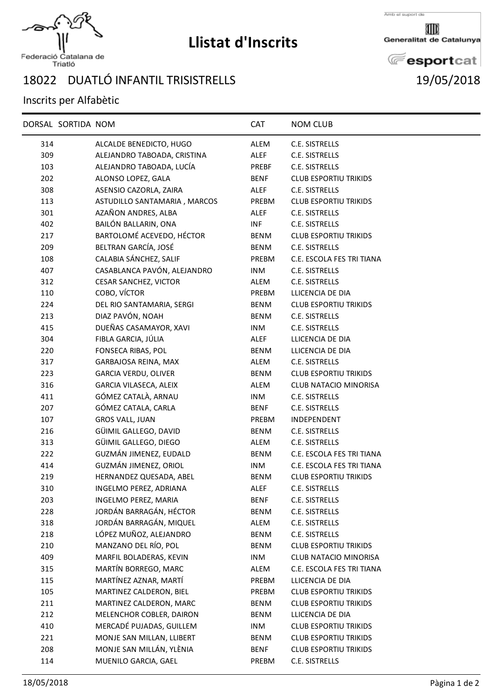

## **Llistat d'Inscrits**

Amb el suport de

Generalitat de Catalunya

**E**esportcat

## 18022 DUATLÓ INFANTIL TRISISTRELLS 19/05/2018

## Inscrits per Alfabètic

|     | DORSAL SORTIDA NOM |                              | <b>CAT</b>  | <b>NOM CLUB</b>              |
|-----|--------------------|------------------------------|-------------|------------------------------|
| 314 |                    | ALCALDE BENEDICTO, HUGO      | ALEM        | C.E. SISTRELLS               |
| 309 |                    | ALEJANDRO TABOADA, CRISTINA  | ALEF        | C.E. SISTRELLS               |
| 103 |                    | ALEJANDRO TABOADA, LUCÍA     | PREBF       | C.E. SISTRELLS               |
| 202 |                    | ALONSO LOPEZ, GALA           | <b>BENF</b> | <b>CLUB ESPORTIU TRIKIDS</b> |
| 308 |                    | ASENSIO CAZORLA, ZAIRA       | ALEF        | C.E. SISTRELLS               |
| 113 |                    | ASTUDILLO SANTAMARIA, MARCOS | PREBM       | <b>CLUB ESPORTIU TRIKIDS</b> |
| 301 |                    | AZAÑON ANDRES, ALBA          | <b>ALEF</b> | C.E. SISTRELLS               |
| 402 |                    | BAILÓN BALLARIN, ONA         | INF         | C.E. SISTRELLS               |
| 217 |                    | BARTOLOMÉ ACEVEDO, HÉCTOR    | <b>BENM</b> | <b>CLUB ESPORTIU TRIKIDS</b> |
| 209 |                    | BELTRAN GARCÍA, JOSÉ         | <b>BENM</b> | C.E. SISTRELLS               |
| 108 |                    | CALABIA SÁNCHEZ, SALIF       | PREBM       | C.E. ESCOLA FES TRI TIANA    |
| 407 |                    | CASABLANCA PAVÓN, ALEJANDRO  | <b>INM</b>  | C.E. SISTRELLS               |
| 312 |                    | <b>CESAR SANCHEZ, VICTOR</b> | ALEM        | C.E. SISTRELLS               |
| 110 |                    | COBO, VÍCTOR                 | PREBM       | LLICENCIA DE DIA             |
| 224 |                    | DEL RIO SANTAMARIA, SERGI    | <b>BENM</b> | <b>CLUB ESPORTIU TRIKIDS</b> |
| 213 |                    | DIAZ PAVÓN, NOAH             | <b>BENM</b> | C.E. SISTRELLS               |
| 415 |                    | DUEÑAS CASAMAYOR, XAVI       | INM         | C.E. SISTRELLS               |
| 304 |                    | FIBLA GARCIA, JÚLIA          | ALEF        | LLICENCIA DE DIA             |
| 220 |                    | FONSECA RIBAS, POL           | <b>BENM</b> | LLICENCIA DE DIA             |
| 317 |                    | GARBAJOSA REINA, MAX         | ALEM        | C.E. SISTRELLS               |
| 223 |                    | <b>GARCIA VERDU, OLIVER</b>  | <b>BENM</b> | <b>CLUB ESPORTIU TRIKIDS</b> |
| 316 |                    | GARCIA VILASECA, ALEIX       | ALEM        | <b>CLUB NATACIO MINORISA</b> |
| 411 |                    | GÓMEZ CATALÀ, ARNAU          | INM         | C.E. SISTRELLS               |
| 207 |                    | GÓMEZ CATALA, CARLA          | <b>BENF</b> | C.E. SISTRELLS               |
| 107 |                    | <b>GROS VALL, JUAN</b>       | PREBM       | <b>INDEPENDENT</b>           |
| 216 |                    | GÜIMIL GALLEGO, DAVID        | <b>BENM</b> | C.E. SISTRELLS               |
| 313 |                    | GÜIMIL GALLEGO, DIEGO        | ALEM        | C.E. SISTRELLS               |
| 222 |                    | GUZMÁN JIMENEZ, EUDALD       | BENM        | C.E. ESCOLA FES TRI TIANA    |
| 414 |                    | GUZMÁN JIMENEZ, ORIOL        | INM         | C.E. ESCOLA FES TRI TIANA    |
| 219 |                    | HERNANDEZ QUESADA, ABEL      | <b>BENM</b> | <b>CLUB ESPORTIU TRIKIDS</b> |
| 310 |                    | INGELMO PEREZ, ADRIANA       | ALEF        | C.E. SISTRELLS               |
| 203 |                    | <b>INGELMO PEREZ, MARIA</b>  | <b>BENF</b> | C.E. SISTRELLS               |
| 228 |                    | JORDÁN BARRAGÁN, HÉCTOR      | <b>BENM</b> | C.E. SISTRELLS               |
| 318 |                    | JORDÁN BARRAGÁN, MIQUEL      | ALEM        | C.E. SISTRELLS               |
| 218 |                    | LÓPEZ MUÑOZ, ALEJANDRO       | BENM        | C.E. SISTRELLS               |
| 210 |                    | MANZANO DEL RÍO, POL         | BENM        | <b>CLUB ESPORTIU TRIKIDS</b> |
| 409 |                    | MARFIL BOLADERAS, KEVIN      | <b>INM</b>  | <b>CLUB NATACIO MINORISA</b> |
| 315 |                    | MARTÍN BORREGO, MARC         | ALEM        | C.E. ESCOLA FES TRI TIANA    |
| 115 |                    | MARTÍNEZ AZNAR, MARTÍ        | PREBM       | LLICENCIA DE DIA             |
| 105 |                    | MARTINEZ CALDERON, BIEL      | PREBM       | <b>CLUB ESPORTIU TRIKIDS</b> |
| 211 |                    | MARTINEZ CALDERON, MARC      | BENM        | <b>CLUB ESPORTIU TRIKIDS</b> |
| 212 |                    | MELENCHOR COBLER, DAIRON     | <b>BENM</b> | LLICENCIA DE DIA             |
| 410 |                    | MERCADÉ PUJADAS, GUILLEM     | <b>INM</b>  | <b>CLUB ESPORTIU TRIKIDS</b> |
| 221 |                    | MONJE SAN MILLAN, LLIBERT    | BENM        | <b>CLUB ESPORTIU TRIKIDS</b> |
| 208 |                    | MONJE SAN MILLÁN, YLÈNIA     | BENF        | <b>CLUB ESPORTIU TRIKIDS</b> |
| 114 |                    | MUENILO GARCIA, GAEL         | PREBM       | C.E. SISTRELLS               |